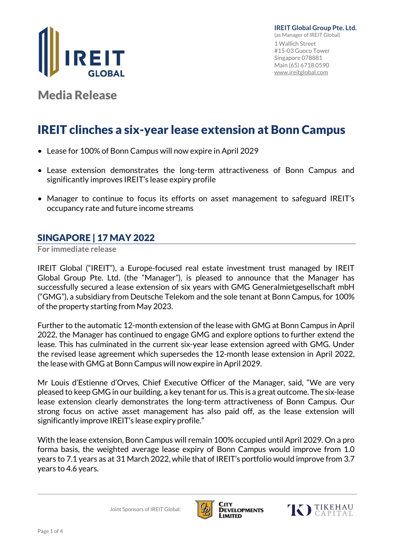

Media Release

# IREIT clinches a six-year lease extension at Bonn Campus

- Lease for 100% of Bonn Campus will now expire in April 2029
- Lease extension demonstrates the long-term attractiveness of Bonn Campus and significantly improves IREIT's lease expiry profile
- Manager to continue to focus its efforts on asset management to safeguard IREIT's occupancy rate and future income streams

## SINGAPORE | 17 MAY 2022

**For immediate release**

IREIT Global ("IREIT"), a Europe-focused real estate investment trust managed by IREIT Global Group Pte. Ltd. (the "Manager"), is pleased to announce that the Manager has successfully secured a lease extension of six years with GMG Generalmietgesellschaft mbH ("GMG"), a subsidiary from Deutsche Telekom and the sole tenant at Bonn Campus, for 100% of the property starting from May 2023.

Further to the automatic 12-month extension of the lease with GMG at Bonn Campus in April 2022, the Manager has continued to engage GMG and explore options to further extend the lease. This has culminated in the current six-year lease extension agreed with GMG. Under the revised lease agreement which supersedes the 12-month lease extension in April 2022, the lease with GMG at Bonn Campus will now expire in April 2029.

Mr Louis d'Estienne d'Orves, Chief Executive Officer of the Manager, said, "We are very pleased to keep GMG in our building, a key tenant for us. This is a great outcome. The six-lease lease extension clearly demonstrates the long-term attractiveness of Bonn Campus. Our strong focus on active asset management has also paid off, as the lease extension will significantly improve IREIT's lease expiry profile."

With the lease extension, Bonn Campus will remain 100% occupied until April 2029. On a pro forma basis, the weighted average lease expiry of Bonn Campus would improve from 1.0 years to 7.1 years as at 31 March 2022, while that of IREIT's portfolio would improve from 3.7 years to 4.6 years.





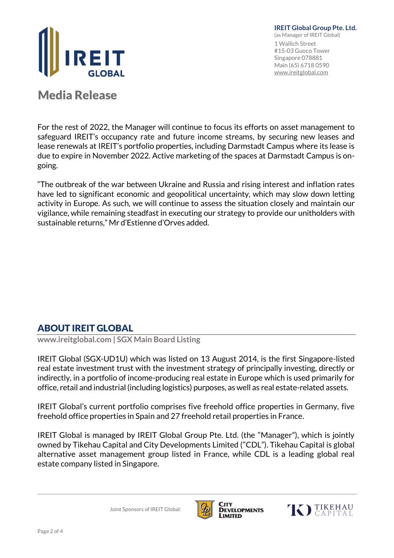

**IREIT Global Group Pte. Ltd.** (as Manager of IREIT Global) 1 Wallich Street #15-03 Guoco Tower Singapore 078881 Main (65) 6718 0590 [www.ireitglobal.com](http://www.ireitglobal.com/)

## Media Release

For the rest of 2022, the Manager will continue to focus its efforts on asset management to safeguard IREIT's occupancy rate and future income streams, by securing new leases and lease renewals at IREIT's portfolio properties, including Darmstadt Campus where its lease is due to expire in November 2022. Active marketing of the spaces at Darmstadt Campus is ongoing.

"The outbreak of the war between Ukraine and Russia and rising interest and inflation rates have led to significant economic and geopolitical uncertainty, which may slow down letting activity in Europe. As such, we will continue to assess the situation closely and maintain our vigilance, while remaining steadfast in executing our strategy to provide our unitholders with sustainable returns," Mr d'Estienne d'Orves added.

## ABOUT IREIT GLOBAL

**www.ireitglobal.com | SGX Main Board Listing**

IREIT Global (SGX-UD1U) which was listed on 13 August 2014, is the first Singapore-listed real estate investment trust with the investment strategy of principally investing, directly or indirectly, in a portfolio of income-producing real estate in Europe which is used primarily for office, retail and industrial (including logistics) purposes, as well as real estate-related assets.

IREIT Global's current portfolio comprises five freehold office properties in Germany, five freehold office properties in Spain and 27 freehold retail properties in France.

IREIT Global is managed by IREIT Global Group Pte. Ltd. (the "Manager"), which is jointly owned by Tikehau Capital and City Developments Limited ("CDL"). Tikehau Capital is global alternative asset management group listed in France, while CDL is a leading global real estate company listed in Singapore.



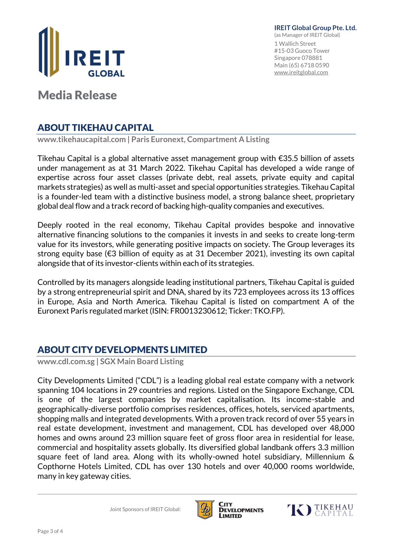

**IREIT Global Group Pte. Ltd.** (as Manager of IREIT Global) 1 Wallich Street #15-03 Guoco Tower Singapore 078881 Main (65) 6718 0590 [www.ireitglobal.com](http://www.ireitglobal.com/)

## Media Release

## ABOUT TIKEHAU CAPITAL

**www.tikehaucapital.com | Paris Euronext, Compartment A Listing**

Tikehau Capital is a global alternative asset management group with €35.5 billion of assets under management as at 31 March 2022. Tikehau Capital has developed a wide range of expertise across four asset classes (private debt, real assets, private equity and capital markets strategies) as well as multi-asset and special opportunities strategies. Tikehau Capital is a founder-led team with a distinctive business model, a strong balance sheet, proprietary global deal flow and a track record of backing high-quality companies and executives.

Deeply rooted in the real economy, Tikehau Capital provides bespoke and innovative alternative financing solutions to the companies it invests in and seeks to create long-term value for its investors, while generating positive impacts on society. The Group leverages its strong equity base (€3 billion of equity as at 31 December 2021), investing its own capital alongside that of its investor-clients within each of its strategies.

Controlled by its managers alongside leading institutional partners, Tikehau Capital is guided by a strong entrepreneurial spirit and DNA, shared by its 723 employees across its 13 offices in Europe, Asia and North America. Tikehau Capital is listed on compartment A of the Euronext Paris regulated market (ISIN: FR0013230612; Ticker: TKO.FP).

#### ABOUT CITY DEVELOPMENTS LIMITED

**www.cdl.com.sg | SGX Main Board Listing**

City Developments Limited ("CDL") is a leading global real estate company with a network spanning 104 locations in 29 countries and regions. Listed on the Singapore Exchange, CDL is one of the largest companies by market capitalisation. Its income-stable and geographically-diverse portfolio comprises residences, offices, hotels, serviced apartments, shopping malls and integrated developments. With a proven track record of over 55 years in real estate development, investment and management, CDL has developed over 48,000 homes and owns around 23 million square feet of gross floor area in residential for lease, commercial and hospitality assets globally. Its diversified global landbank offers 3.3 million square feet of land area. Along with its wholly-owned hotel subsidiary, Millennium & Copthorne Hotels Limited, CDL has over 130 hotels and over 40,000 rooms worldwide, many in key gateway cities.